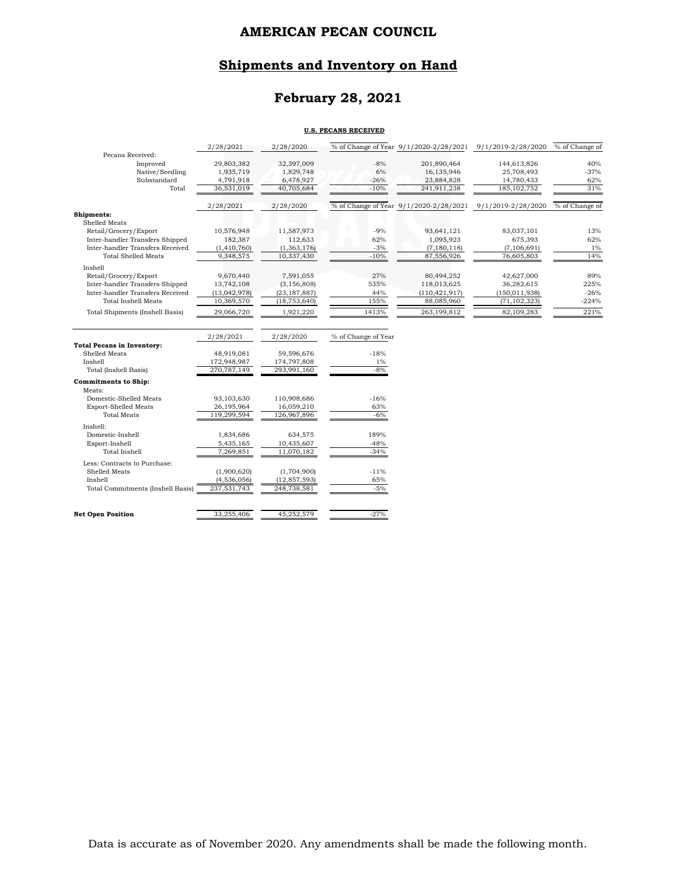# **Shipments and Inventory on Hand**

# **February 28, 2021**

#### **U.S. PECANS RECEIVED**

|                                                       | 2/28/2021                | 2/28/2020                 |                     |                                        | % of Change of Year 9/1/2020-2/28/2021 9/1/2019-2/28/2020 | % of Change of |
|-------------------------------------------------------|--------------------------|---------------------------|---------------------|----------------------------------------|-----------------------------------------------------------|----------------|
| Pecans Received:                                      |                          |                           |                     |                                        |                                                           |                |
| Improved                                              | 29,803,382               | 32,397,009                | $-8%$<br>$6\%$      | 201,890,464                            | 144,613,826                                               | 40%            |
| Native/Seedling<br>Substandard                        | 1,935,719<br>4,791,918   | 1,829,748<br>6,478,927    | $-26%$              | 16,135,946<br>23,884,828               | 25,708,493<br>14,780,433                                  | $-37%$<br>62%  |
| Total                                                 | 36,531,019               | 40,705,684                | $-10%$              | 241,911,238                            | 185, 102, 752                                             | 31%            |
|                                                       |                          |                           |                     |                                        |                                                           |                |
|                                                       | 2/28/2021                | 2/28/2020                 |                     | % of Change of Year 9/1/2020-2/28/2021 | 9/1/2019-2/28/2020                                        | % of Change of |
| Shipments:                                            |                          |                           |                     |                                        |                                                           |                |
| Shelled Meats                                         |                          |                           |                     |                                        |                                                           |                |
| Retail/Grocery/Export                                 | 10,576,948               | 11,587,973                | $-9%$               | 93,641,121                             | 83,037,101                                                | 13%            |
| Inter-handler Transfers Shipped                       | 182,387                  | 112,633                   | 62%                 | 1,095,923                              | 675,393                                                   | 62%            |
| Inter-handler Transfers Received                      | (1, 410, 760)            | (1,363,176)               | $-3%$               | (7, 180, 118)                          | (7, 106, 691)                                             | $1\%$          |
| <b>Total Shelled Meats</b>                            | 9,348,575                | 10,337,430                | $-10%$              | 87.556.926                             | 76,605,803                                                | 14%            |
| Inshell                                               |                          |                           |                     |                                        |                                                           |                |
| Retail/Grocery/Export                                 | 9,670,440                | 7,591,055                 | 27%                 | 80,494,252                             | 42,627,000                                                | 89%            |
| Inter-handler Transfers Shipped                       | 13,742,108               | (3, 156, 808)             | 535%                | 118,013,625                            | 36,282,615                                                | 225%           |
| Inter-handler Transfers Received                      | (13,042,978)             | (23, 187, 887)            | 44%                 | (110, 421, 917)                        | (150, 011, 938)                                           | $-26%$         |
| <b>Total Inshell Meats</b>                            | 10,369,570               | (18, 753, 640)            | 155%                | 88,085,960                             | (71, 102, 323)                                            | $-224%$        |
| Total Shipments (Inshell Basis)                       | 29,066,720               | 1,921,220                 | 1413%               | 263,199,812                            | 82,109,283                                                | 221%           |
|                                                       |                          |                           |                     |                                        |                                                           |                |
|                                                       |                          |                           |                     |                                        |                                                           |                |
|                                                       | 2/28/2021                | 2/28/2020                 | % of Change of Year |                                        |                                                           |                |
| <b>Total Pecans in Inventory:</b>                     |                          |                           |                     |                                        |                                                           |                |
| Shelled Meats                                         | 48,919,081               | 59,596,676                | $-18%$              |                                        |                                                           |                |
| Inshell                                               | 172,948,987              | 174,797,808               | $1\%$               |                                        |                                                           |                |
| Total (Inshell Basis)                                 | 270,787,149              | 293,991,160               | $-8%$               |                                        |                                                           |                |
| <b>Commitments to Ship:</b>                           |                          |                           |                     |                                        |                                                           |                |
| Meats:                                                |                          |                           |                     |                                        |                                                           |                |
| Domestic-Shelled Meats<br><b>Export-Shelled Meats</b> | 93,103,630<br>26,195,964 | 110,908,686<br>16,059,210 | $-16%$<br>63%       |                                        |                                                           |                |
| <b>Total Meats</b>                                    | 119,299,594              | 126,967,896               | $-6%$               |                                        |                                                           |                |
| Inshell:                                              |                          |                           |                     |                                        |                                                           |                |
| Domestic-Inshell                                      | 1,834,686                | 634,575                   | 189%                |                                        |                                                           |                |
| Export-Inshell                                        | 5,435,165                | 10,435,607                | $-48%$              |                                        |                                                           |                |
| Total Inshell                                         | 7,269,851                | 11,070,182                | $-34%$              |                                        |                                                           |                |
| Less: Contracts to Purchase:                          |                          |                           |                     |                                        |                                                           |                |
| Shelled Meats                                         | (1,900,620)              | (1,704,900)               | $-11%$              |                                        |                                                           |                |
| Inshell                                               | (4,536,056)              | (12, 857, 593)            | 65%                 |                                        |                                                           |                |
| Total Commitments (Inshell Basis)                     | 237,531,743              | 248,738,581               | $-5%$               |                                        |                                                           |                |
| <b>Net Open Position</b>                              | 33,255,406               | 45,252,579                | $-27%$              |                                        |                                                           |                |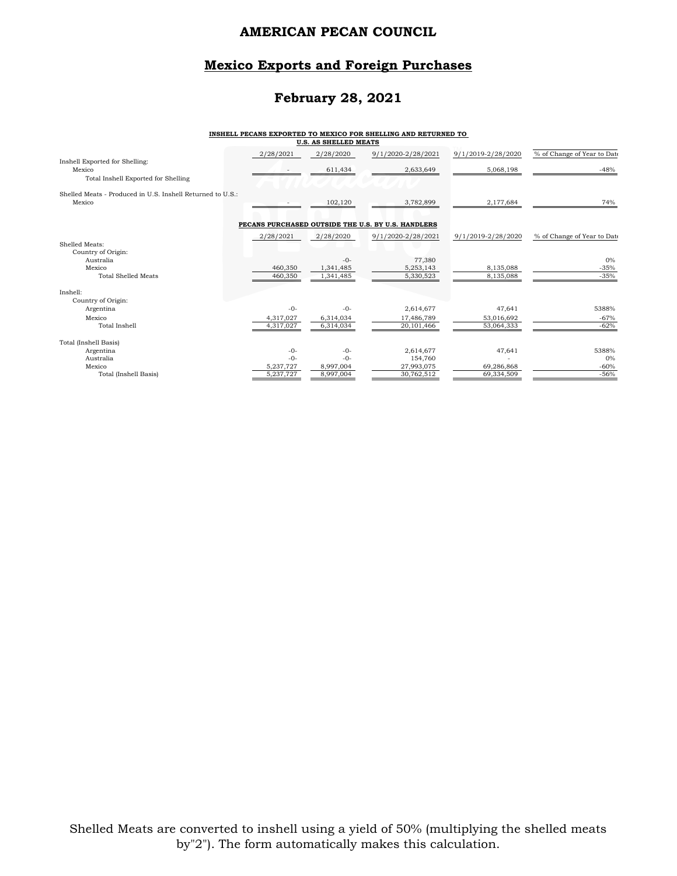### **Mexico Exports and Foreign Purchases**

# **February 28, 2021**

# **INSHELL PECANS EXPORTED TO MEXICO FOR SHELLING AND RETURNED TO U.S. AS SHELLED MEATS**

|                                                            | 2/28/2021 | 2/28/2020 | 9/1/2020-2/28/2021                                 | 9/1/2019-2/28/2020 | % of Change of Year to Date |
|------------------------------------------------------------|-----------|-----------|----------------------------------------------------|--------------------|-----------------------------|
| Inshell Exported for Shelling:<br>Mexico                   |           | 611,434   | 2,633,649                                          | 5,068,198          | $-48%$                      |
| Total Inshell Exported for Shelling                        |           |           |                                                    |                    |                             |
| Shelled Meats - Produced in U.S. Inshell Returned to U.S.: |           |           |                                                    |                    |                             |
| Mexico                                                     |           | 102,120   | 3,782,899                                          | 2,177,684          | 74%                         |
|                                                            |           |           | PECANS PURCHASED OUTSIDE THE U.S. BY U.S. HANDLERS |                    |                             |
|                                                            | 2/28/2021 | 2/28/2020 | 9/1/2020-2/28/2021                                 | 9/1/2019-2/28/2020 | % of Change of Year to Date |
| Shelled Meats:                                             |           |           |                                                    |                    |                             |
| Country of Origin:                                         |           |           |                                                    |                    |                             |
| Australia                                                  |           | $-0-$     | 77,380                                             |                    | 0%                          |
| Mexico                                                     | 460,350   | 1,341,485 | 5,253,143                                          | 8,135,088          | $-35%$                      |
| <b>Total Shelled Meats</b>                                 | 460,350   | 1,341,485 | 5,330,523                                          | 8,135,088          | $-35%$                      |
| Inshell:                                                   |           |           |                                                    |                    |                             |
| Country of Origin:                                         |           |           |                                                    |                    |                             |
| Argentina                                                  | $-0-$     | $-0-$     | 2,614,677                                          | 47,641             | 5388%                       |
| Mexico                                                     | 4,317,027 | 6,314,034 | 17,486,789                                         | 53,016,692         | $-67%$                      |
| <b>Total Inshell</b>                                       | 4,317,027 | 6,314,034 | 20,101,466                                         | 53,064,333         | $-62%$                      |
| Total (Inshell Basis)                                      |           |           |                                                    |                    |                             |
| Argentina                                                  | $-0-$     | $-0-$     | 2,614,677                                          | 47,641             | 5388%                       |
| Australia                                                  | $-0-$     | $-0-$     | 154,760                                            |                    | 0%                          |
| Mexico                                                     | 5,237,727 | 8,997,004 | 27,993,075                                         | 69,286,868         | $-60%$                      |
| Total (Inshell Basis)                                      | 5,237,727 | 8,997,004 | 30,762,512                                         | 69,334,509         | $-56%$                      |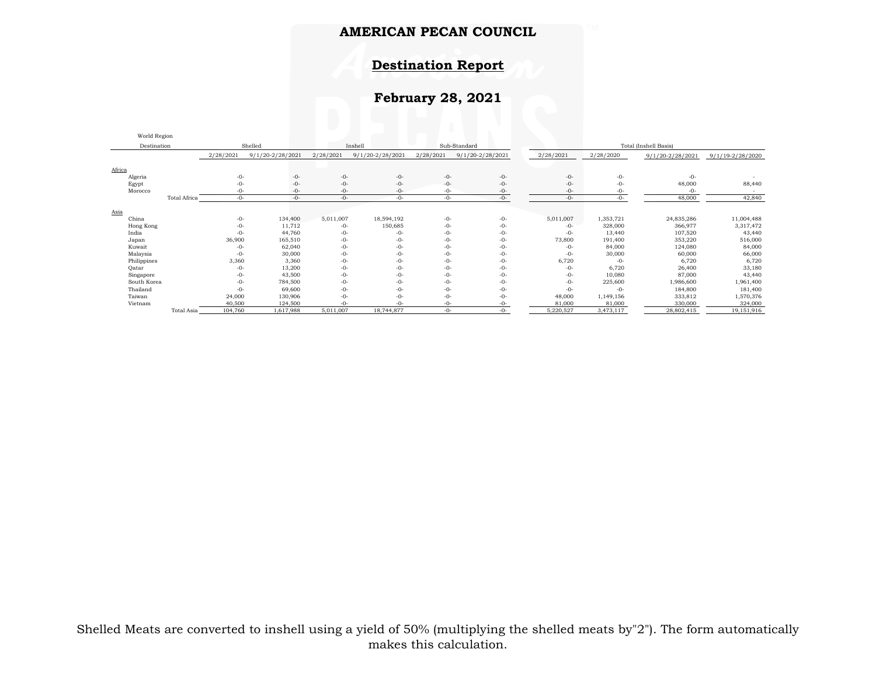#### **Destination Report**

# **February 28, 2021**

World Region

| world <i>Region</i> |                     |           |                  |           |                  |           |                      |           |                       |                  |                  |
|---------------------|---------------------|-----------|------------------|-----------|------------------|-----------|----------------------|-----------|-----------------------|------------------|------------------|
| Destination         |                     |           | Shelled          |           | Inshell          |           | Sub-Standard         |           | Total (Inshell Basis) |                  |                  |
|                     |                     | 2/28/2021 | 9/1/20-2/28/2021 | 2/28/2021 | 9/1/20-2/28/2021 | 2/28/2021 | $9/1/20 - 2/28/2021$ | 2/28/2021 | 2/28/2020             | 9/1/20-2/28/2021 | 9/1/19-2/28/2020 |
| Africa              |                     |           |                  |           |                  |           |                      |           |                       |                  |                  |
| Algeria             |                     | $-0-$     | $-0-$            | $-0-$     | $-0-$            | $-0-$     | $-0-$                | $-0-$     | $-0-$                 | $-0-$            |                  |
| Egypt               |                     | $-0-$     | $-0-$            | $-0-$     | $-0-$            | $-0-$     | $-0-$                | $-0-$     | $-0-$                 | 48,000           | 88,440           |
| Morocco             |                     | $-0-$     | $-0-$            | $-0-$     | $-0-$            | $-0-$     | $-0-$                | $-0-$     | -0-                   | $-0-$            |                  |
|                     | <b>Total Africa</b> | $-0-$     | $-0-$            | $-0-$     | $-0-$            | $-0-$     | $-0-$                | $-0-$     | -0-                   | 48,000           | 42,840           |
| Asia                |                     |           |                  |           |                  |           |                      |           |                       |                  |                  |
| China               |                     | $-0-$     | 134,400          | 5,011,007 | 18,594,192       | $-0-$     | $-0-$                | 5,011,007 | 1,353,721             | 24,835,286       | 11,004,488       |
| Hong Kong           |                     | $-0-$     | 11,712           | $-0-$     | 150,685          | $-0-$     | $-0-$                | $-0-$     | 328,000               | 366,977          | 3,317,472        |
| India               |                     | $-0-$     | 44,760           | $-0-$     | $-0-$            | $-0-$     | $-0-$                | $-0-$     | 13,440                | 107,520          | 43,440           |
| Japan               |                     | 36,900    | 165,510          | $-0-$     | -0-              | $-0-$     | $-0-$                | 73,800    | 191,400               | 353,220          | 516,000          |
| Kuwait              |                     | $-0-$     | 62,040           | $-0-$     | $-0-$            | $-0-$     | $-0-$                | $-0-$     | 84,000                | 124,080          | 84,000           |
| Malaysia            |                     | $-0-$     | 30,000           | $-0-$     | $-0-$            | $-0-$     | $-0-$                | $-0-$     | 30,000                | 60,000           | 66,000           |
| Philippines         |                     | 3,360     | 3,360            | $-0-$     | -0-              | $-0-$     | $-0-$                | 6,720     | $-0-$                 | 6,720            | 6,720            |
| Qatar               |                     | $-0-$     | 13,200           | $-0-$     | -0-              | $-0-$     | $-0-$                | $-0-$     | 6,720                 | 26,400           | 33,180           |
| Singapore           |                     | $-0-$     | 43,500           | $-0-$     | $-0-$            | $-0-$     | $-0-$                | $-0-$     | 10,080                | 87,000           | 43,440           |
| South Korea         |                     | $-0-$     | 784,500          | $-0-$     | -0-              | $-0-$     | $-0-$                | $-0-$     | 225,600               | 1,986,600        | 1,961,400        |
| Thailand            |                     | $-0-$     | 69,600           | $-0-$     | $-0-$            | $-0-$     | $-0-$                | $-0-$     | $-0-$                 | 184,800          | 181,400          |
| Taiwan              |                     | 24,000    | 130,906          | $-0-$     | $-0-$            | $-0-$     | $-0-$                | 48,000    | 1,149,156             | 333,812          | 1,570,376        |
| Vietnam             |                     | 40,500    | 124,500          | $-0$      | -0-              | $-0-$     | $-0-$                | 81,000    | 81,000                | 330,000          | 324,000          |
|                     | Total Asia          | 104,760   | 1,617,988        | 5,011,007 | 18,744,877       | $-0-$     | $-0-$                | 5,220,527 | 3,473,117             | 28,802,415       | 19,151,916       |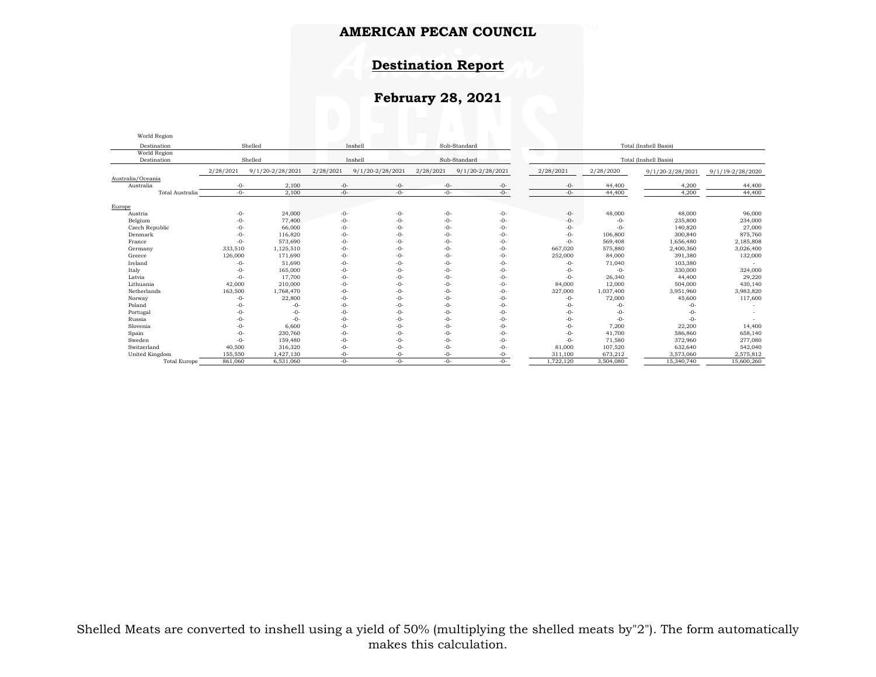### **Destination Report**

# **February 28, 2021**

| World Region        |           |                  |           |                  |           |                  |                       |                       |                  |                  |  |  |
|---------------------|-----------|------------------|-----------|------------------|-----------|------------------|-----------------------|-----------------------|------------------|------------------|--|--|
| Destination         | Shelled   |                  | Inshell   |                  |           | Sub-Standard     | Total (Inshell Basis) |                       |                  |                  |  |  |
| World Region        |           |                  |           |                  |           |                  |                       |                       |                  |                  |  |  |
| Destination         | Shelled   |                  | Inshell   |                  |           | Sub-Standard     |                       | Total (Inshell Basis) |                  |                  |  |  |
|                     | 2/28/2021 | 9/1/20-2/28/2021 | 2/28/2021 | 9/1/20-2/28/2021 | 2/28/2021 | 9/1/20-2/28/2021 | 2/28/2021             | 2/28/2020             | 9/1/20-2/28/2021 | 9/1/19-2/28/2020 |  |  |
| Australia/Oceania   |           |                  |           |                  |           |                  |                       |                       |                  |                  |  |  |
| Australia           | $-0-$     | 2,100            | $-0-$     | $-0-$            | $-0-$     | -0-              | $-0-$                 | 44,400                | 4,200            | 44,400           |  |  |
| Total Australia     | $-0-$     | 2.100            | $-0-$     | $-0-$            | $-0-$     | $-0-$            | $-0-$                 | 44,400                | 4.200            | 44,400           |  |  |
|                     |           |                  |           |                  |           |                  |                       |                       |                  |                  |  |  |
| Europe              |           |                  |           |                  |           |                  |                       |                       |                  |                  |  |  |
| Austria             | $-0-$     | 24,000           | -0-       | $-0-$            | $-0-$     | $-0-$            | $-0-$                 | 48,000                | 48,000           | 96,000           |  |  |
| Belgium             | $-0-$     | 77,400           | $-0-$     | $-0-$            | $-0-$     | $-0-$            | $-0-$                 | $-0-$                 | 235,800          | 234,000          |  |  |
| Czech Republic      | $-0-$     | 66,000           | $-0-$     | $-0-$            | $-0-$     | $-0-$            | $-0-$                 | $-0-$                 | 140,820          | 27,000           |  |  |
| Denmark             | $-0-$     | 116,820          | $-0-$     | $-0-$            | $-0-$     | $-0-$            | $-0-$                 | 106,800               | 300,840          | 875,760          |  |  |
| France              | $-0-$     | 573,690          | $-0-$     | $-0-$            | $-0-$     | $-0-$            | $-0-$                 | 569,408               | 1,656,480        | 2,185,808        |  |  |
| Germany             | 333,510   | 1,125,510        | $-0-$     | $-0-$            | $-0-$     | $-0-$            | 667,020               | 575,880               | 2,400,360        | 3,026,400        |  |  |
| Greece              | 126,000   | 171,690          | $-0-$     | $-0-$            | $-0-$     | $-0-$            | 252,000               | 84,000                | 391,380          | 132,000          |  |  |
| Ireland             | $-0-$     | 51,690           | $-0-$     | $-0-$            | $-0-$     | $-0-$            | $-0-$                 | 71,040                | 103,380          |                  |  |  |
| Italy               | $-0-$     | 165,000          | $-0-$     | $-0-$            | $-0-$     | $-0-$            | $-0-$                 | $-0-$                 | 330,000          | 324,000          |  |  |
| Latvia              | $-0-$     | 17,700           | $-0-$     | $-0-$            | $-0-$     | $-0-$            | $-0-$                 | 26,340                | 44,400           | 29,220           |  |  |
| Lithuania           | 42,000    | 210,000          | $-0-$     | $-0-$            | $-0-$     | $-0-$            | 84,000                | 12,000                | 504,000          | 430,140          |  |  |
| Netherlands         | 163,500   | 1,768,470        | $-0-$     | $-0-$            | $-0-$     | $-0-$            | 327,000               | 1,037,400             | 3,951,960        | 3,983,820        |  |  |
| Norway              | $-0-$     | 22,800           | $-0-$     | $-()$ -          | $-0-$     | $-0-$            | $-0-$                 | 72,000                | 45,600           | 117,600          |  |  |
| Poland              | $-0-$     | $-0-$            | $-0-$     | $-0-$            | $-0-$     | $-0-$            | $-0-$                 | $-0-$                 | $-0-$            |                  |  |  |
| Portugal            | $-0-$     | $-0-$            | $-0-$     | $-0-$            | $-0-$     | $-0-$            | $-0-$                 | $-0-$                 | $-0-$            |                  |  |  |
| Russia              | $-0-$     | $-0-$            | $-0-$     | $-0-$            | $-0-$     | $-0-$            | $-0-$                 | $-0-$                 | $-0-$            |                  |  |  |
| Slovenia            | $-()$ -   | 6,600            | $-0-$     | $-()$ -          | $-0-$     | $-0-$            | $-0-$                 | 7,200                 | 22,200           | 14,400           |  |  |
| Spain               | $-0-$     | 230,760          | $-0-$     | $-0-$            | $-0-$     | $-0-$            | $-0-$                 | 41,700                | 586,860          | 658,140          |  |  |
| Sweden              | $-0-$     | 159,480          | $-0-$     | $-0-$            | $-0-$     | $-0-$            | $-0-$                 | 71,580                | 372,960          | 277,080          |  |  |
| Switzerland         | 40,500    | 316,320          | $-0-$     | $-0-$            | $-0-$     | $-0-$            | 81,000                | 107,520               | 632,640          | 542,040          |  |  |
| United Kingdom      | 155,550   | 1,427,130        | $-0-$     | $-0-$            | $-0-$     | $-0-$            | 311,100               | 673,212               | 3,573,060        | 2,575,812        |  |  |
| <b>Total Europe</b> | 861,060   | 6,531,060        | $-0-$     | $-0-$            | $-0-$     | $-0-$            | 1,722,120             | 3,504,080             | 15,340,740       | 15,600,260       |  |  |